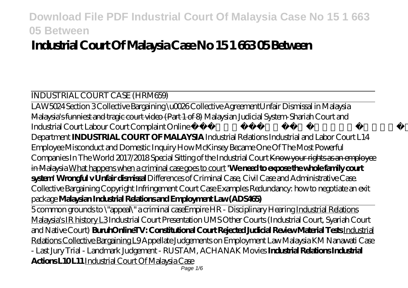# **Industrial Court Of Malaysia Case No 15 1 663 05 Between**

## INDUSTRIAL COURT CASE (HRM659)

LAW5024 Section 3 Collective Bargaining \u0026 Collective Agreement*Unfair Dismissal in Malaysia* Malaysia's funniest and tragic court video (Part 1 of 8) *Malaysian Judicial System-Shariah Court and Industrial Court Labour Court Complaint Online कैसे करें | Lodge Your Complaint at Labour Department* **INDUSTRIAL COURT OF MALAYSIA** *Industrial Relations Industrial and Labor Court L14 Employee Misconduct and Domestic Inquiry* How McKinsey Became One Of The Most Powerful Companies In The World 2017/2018 Special Sitting of the Industrial Court Know your rights as an employee in Malaysia What happens when a criminal case goes to court **'We need to expose the whole family court system' Wrongful v Unfair dismissal** *Differences of Criminal Case, Civil Case and Administrative Case. Collective Bargaining Copyright Infringement Court Case Examples Redundancy: how to negotiate an exit package* **Malaysian Industrial Relations and Employment Law (ADS465)**

5 common grounds to \"appeal\" a criminal case*Empire HR - Disciplinary Hearing* Industrial Relations Malaysia's IR history L3 *Industrial Court Presentation UMS Other Courts (Industrial Court, Syariah Court and Native Court)* **BuruhOnlineTV: Constitutional Court Rejected Judicial Review Material Tests** Industrial Relations Collective Bargaining L9 *Appellate Judgements on Employment Law Malaysia KM Nanawati Case - Last Jury Trial - Landmark Judgement - RUSTAM, ACHANAK Movies* **Industrial Relations Industrial Actions L10 L11** Industrial Court Of Malaysia Case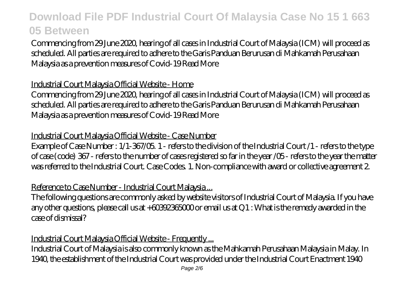Commencing from 29 June 2020, hearing of all cases in Industrial Court of Malaysia (ICM) will proceed as scheduled. All parties are required to adhere to the Garis Panduan Berurusan di Mahkamah Perusahaan Malaysia as a prevention measures of Covid-19 Read More

### Industrial Court Malaysia Official Website - Home

Commencing from 29 June 2020, hearing of all cases in Industrial Court of Malaysia (ICM) will proceed as scheduled. All parties are required to adhere to the Garis Panduan Berurusan di Mahkamah Perusahaan Malaysia as a prevention measures of Covid-19 Read More

#### Industrial Court Malaysia Official Website - Case Number

Example of Case Number : 1/1-367/05. 1 - refers to the division of the Industrial Court /1 - refers to the type of case (code) 367 - refers to the number of cases registered so far in the year /05 - refers to the year the matter was referred to the Industrial Court. Case Codes. 1. Non-compliance with award or collective agreement 2.

### Reference to Case Number - Industrial Court Malaysia ...

The following questions are commonly asked by website visitors of Industrial Court of Malaysia. If you have any other questions, please call us at +60392365000 or email us at Q1 : What is the remedy awarded in the case of dismissal?

### Industrial Court Malaysia Official Website - Frequently ...

Industrial Court of Malaysia is also commonly known as the Mahkamah Perusahaan Malaysia in Malay. In 1940, the establishment of the Industrial Court was provided under the Industrial Court Enactment 1940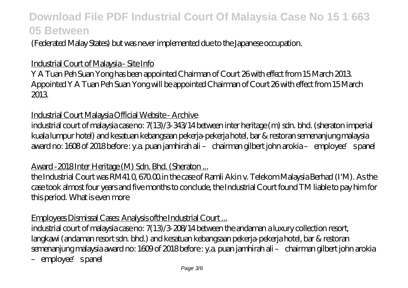(Federated Malay States) but was never implemented due to the Japanese occupation.

#### Industrial Court of Malaysia - Site Info

Y A Tuan Peh Suan Yong has been appointed Chairman of Court 26 with effect from 15 March 2013. Appointed Y A Tuan Peh Suan Yong will be appointed Chairman of Court 26 with effect from 15 March 2013.

#### Industrial Court Malaysia Official Website - Archive

industrial court of malaysia case no: 7(13)/3-343/14 between inter heritage (m) sdn. bhd. (sheraton imperial kuala lumpur hotel) and kesatuan kebangsaan pekerja-pekerja hotel, bar & restoran semenanjung malaysia award no: 1608 of 2018 before : y.a. puan jamhirah ali – chairman gilbert john arokia – employee's panel

#### Award -2018 Inter Heritage (M) Sdn. Bhd. (Sheraton ...

the Industrial Court was RM41 0, 670.00.in the case of Ramli Akin v. Telekom Malaysia Berhad (I'M). As the case took almost four years and five months to conclude, the Industrial Court found TM liable to pay him for this period. What is even more

#### Employees Dismissal Cases: Analysis ofthe Industrial Court ...

industrial court of malaysia case no: 7(13)/3-208/14 between the andaman a luxury collection resort, langkawi (andaman resort sdn. bhd.) and kesatuan kebangsaan pekerja-pekerja hotel, bar & restoran semenanjung malaysia award no: 1609 of 2018 before : y.a. puan jamhirah ali – chairman gilbert john arokia – employee's panel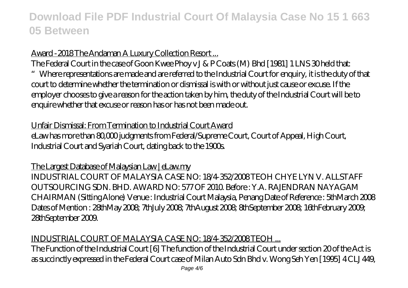### Award -2018 The Andaman A Luxury Collection Resort ...

The Federal Court in the case of Goon Kwee Phoy v J & P Coats (M) Bhd [1981] 1 LNS 30 held that:

"Where representations are made and are referred to the Industrial Court for enquiry, it is the duty of that court to determine whether the termination or dismissal is with or without just cause or excuse. If the employer chooses to give a reason for the action taken by him, the duty of the Industrial Court will be to enquire whether that excuse or reason has or has not been made out.

Unfair Dismissal: From Termination to Industrial Court Award eLaw has more than 80,000 judgments from Federal/Supreme Court, Court of Appeal, High Court, Industrial Court and Syariah Court, dating back to the 1900s.

## The Largest Database of Malaysian Law | eLaw.my

INDUSTRIAL COURT OF MALAYSIA CASE NO: 18/4-352/2008 TEOH CHYE LYN V. ALLSTAFF OUTSOURCING SDN. BHD. AWARD NO: 577 OF 2010. Before : Y.A. RAJENDRAN NAYAGAM CHAIRMAN (Sitting Alone) Venue : Industrial Court Malaysia, Penang Date of Reference : 5thMarch 2008 Dates of Mention : 28thMay 2008; 7thJuly 2008; 7thAugust 2008; 8thSeptember 2008; 16thFebruary 2009; 28thSeptember 2009.

## INDUSTRIAL COURT OF MALAYSIA CASE NO: 18/4-352/2008 TEOH ...

The Function of the Industrial Court [6] The function of the Industrial Court under section 20 of the Act is as succinctly expressed in the Federal Court case of Milan Auto Sdn Bhd v. Wong Seh Yen [1995] 4 CLJ 449,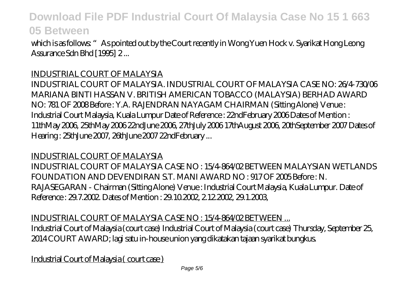which is as follows: "As pointed out by the Court recently in Wong Yuen Hock v. Syarikat Hong Leong Assurance Sdn Bhd [1995] 2 ...

### INDUSTRIAL COURT OF MALAYSIA

INDUSTRIAL COURT OF MALAYSIA. INDUSTRIAL COURT OF MALAYSIA CASE NO: 26/4-730/06 MARIANA BINTI HASSAN V. BRITISH AMERICAN TOBACCO (MALAYSIA) BERHAD AWARD NO: 781 OF 2008 Before : Y.A. RAJENDRAN NAYAGAM CHAIRMAN (Sitting Alone) Venue : Industrial Court Malaysia, Kuala Lumpur Date of Reference : 22ndFebruary 2006 Dates of Mention : 11thMay 2006, 25thMay 2006 22ndJune 2006, 27thJuly 2006 17thAugust 2006, 20thSeptember 2007 Dates of Hearing : 25thJune 2007, 26thJune 2007 22ndFebruary ...

#### INDUSTRIAL COURT OF MALAYSIA

INDUSTRIAL COURT OF MALAYSIA CASE NO : 15/4-864/02 BETWEEN MALAYSIAN WETLANDS FOUNDATION AND DEVENDIRAN S.T. MANI AWARD NO: 917 OF 2005 Before: N. RAJASEGARAN - Chairman (Sitting Alone) Venue : Industrial Court Malaysia, Kuala Lumpur. Date of Reference : 29.7.2002. Dates of Mention : 29.10.2002, 2.12.2002, 29.1.2003,

#### INDUSTRIAL COURT OF MALAYSIA CASE NO : 15/4-864/02 BETWEEN ...

Industrial Court of Malaysia (court case) Industrial Court of Malaysia (court case) Thursday, September 25, 2014 COURT AWARD; lagi satu in-house union yang dikatakan tajaan syarikat bungkus.

Industrial Court of Malaysia ( court case )